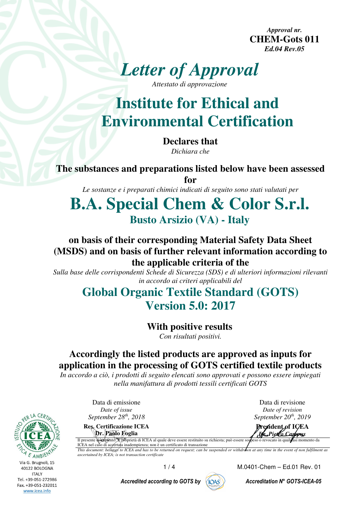*Approval nr.*  **CHEM-Gots 011**  *Ed.04 Rev.05* 



**Institute for Ethical and Environmental Certification** 

> **Declares that**  *Dichiara che*

**The substances and preparations listed below have been assessed for** 

*Le sostanze e i preparati chimici indicati di seguito sono stati valutati per* 

# **B.A. Special Chem & Color S.r.l. Busto Arsizio (VA) - Italy**

#### **on basis of their corresponding Material Safety Data Sheet (MSDS) and on basis of further relevant information according to the applicable criteria of the**

*Sulla base delle corrispondenti Schede di Sicurezza (SDS) e di ulteriori informazioni rilevanti in accordo ai criteri applicabili del* 

## **Global Organic Textile Standard (GOTS) Version 5.0: 2017**

#### **With positive results**

*Con risultati positivi.* 

### **Accordingly the listed products are approved as inputs for application in the processing of GOTS certified textile products**

*In accordo a ciò, i prodotti di seguito elencati sono approvati e possono essere impiegati nella manifattura di prodotti tessili certificati GOTS* 

> Data di emissione *Date of issue September 28th, 2018 September 20*

**Res. Certificazione ICEA Dr. Paolo Foglia** 



Data di revisione *Date of revision September* 20<sup>th</sup>, 2019

**President of ICEA** *Dr. Pietro Carppus*<br>so o revocato in quals asi momento da Il presente documento: È proprietà di ICEA al quale deve essere restituito su richiesta; può essere so

ICEA nel caso di accertata inadempienza; non è un certificato di transazione *This document: belongs to ICEA and has to be returned on request; can be suspended or withdrawn at any time in the event of non fulfilment as ascertained by ICEA; is not transaction certificate*

1 / 4 M.0401-Chem – Ed.01 Rev. 01

Accredited according to GOTS by  $\binom{n}{10AS}$  Accreditation N° GOTS-ICEA-05

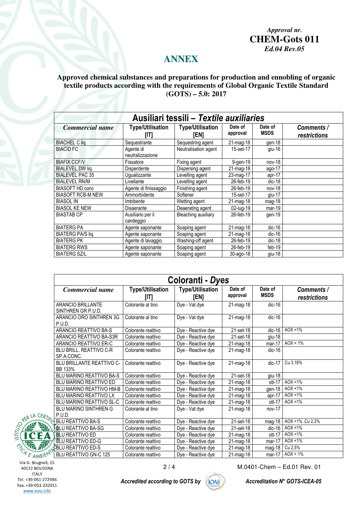*Approval nr.*  **CHEM-Gots 011**  *Ed.04 Rev.05* 

#### **ANNEX**

#### **Approved chemical substances and preparations for production and ennobling of organic textile products according with the requirements of Global Organic Textile Standard (GOTS) – 5.0: 2017**

| Ausiliari tessili - Textile auxiliaries |                                 |                                 |                     |                        |                            |
|-----------------------------------------|---------------------------------|---------------------------------|---------------------|------------------------|----------------------------|
| Commercial name                         | <b>Type/Utilisation</b><br>וזזן | <b>Type/Utilisation</b><br>[EN] | Date of<br>approval | Date of<br><b>MSDS</b> | Comments /<br>restrictions |
| <b>BIACHEL C lig.</b>                   | Sequestrante                    | Sequestring agent               | $21$ -mag-18        | gen-18                 |                            |
| <b>BIACID FC</b>                        | Agente di<br>neutralizzazione   | Neutralisation agent            | 15-set-17           | giu-16                 |                            |
| <b>BIAFIX CCF/V</b>                     | Fissatore                       | Fixing agent                    | 9-gen-19            | nov-18                 |                            |
| <b>BIALEVEL DW lig.</b>                 | Disperdente                     | Dispersing agent                | 21-mag-18           | ago-17                 |                            |
| <b>BIALEVEL PAC 35</b>                  | Uqualizzante                    | Levelling agent                 | 23-mag-17           | apr-17                 |                            |
| <b>BIALEVEL RN/M</b>                    | Livellante                      | Levelling agent                 | 26-feb-19           | $dic-18$               |                            |
| <b>BIASOFT HD conc</b>                  | Agente di finissaggio           | Finishing agent                 | 26-feb-19           | $nov-18$               |                            |
| <b>BIASOFT RCB-M NEW</b>                | Ammorbidente                    | Softener                        | 15-set-17           | giu-17                 |                            |
| <b>BIASOL IN</b>                        | Imbibente                       | Wetting agent                   | $21$ -mag-18        | $mag-18$               |                            |
| <b>BIASOL KE NEW</b>                    | Disaerante                      | Deaerating agent                | 02-lug-19           | mar-19                 |                            |
| <b>BIASTAB CP</b>                       | Ausiliario per il<br>candeggio  | Bleaching auxiliary             | 26-feb-19           | gen-19                 |                            |
| <b>BIATERG PA</b>                       | Agente saponante                | Soaping agent                   | 21-mag-18           | $dic-16$               |                            |
| <b>BIATERG PA/S liq.</b>                | Agente saponante                | Soaping agent                   | 21-mag-18           | $dic-16$               |                            |
| <b>BIATERG PK</b>                       | Agente di lavaggio              | Washing-off agent               | 26-feb-19           | $dic-18$               |                            |
| <b>BIATERG RWS</b>                      | Agente saponante                | Soaping agent                   | 26-feb-19           | feb-19                 |                            |
| <b>BIATERG SZ/L</b>                     | Agente saponante                | Soaping agent                   | 30-ago-18           | $giu-18$               |                            |

| Coloranti - Dyes                              |                                |                                 |                         |                        |                            |  |
|-----------------------------------------------|--------------------------------|---------------------------------|-------------------------|------------------------|----------------------------|--|
| Commercial name                               | <b>Type/Utilisation</b><br>[1] | <b>Type/Utilisation</b><br>[EN] | Date of<br>approval     | Date of<br><b>MSDS</b> | Comments /<br>restrictions |  |
| ARANCIO BRILLANTE<br>SINTHREN GR P.U.D.       | Colorante al tino              | Dye - Vat dye                   | 21-mag-18               | $dic-16$               |                            |  |
| ARANCIO ORO SINTHREN 3G<br>P.U.D.             | Colorante al tino              | Dye - Vat dye                   | 21-mag-18               | $dic-16$               |                            |  |
| ARANCIO REATTIVO BA-S                         | Colorante reattivo             | Dye - Reactive dye              | 21-set-18               | $dic-16$               | AOX < 1%                   |  |
| ARANCIO REATTIVO BA-S3R                       | Colorante reattivo             | Dye - Reactive dye              | 21-set-18               | giu-18                 |                            |  |
| ARANCIO REATTIVO ER-C                         | Colorante reattivo             | Dye - Reactive dye              | 21-mag-18               | $mar-17$               | $AOX < 1\%$                |  |
| <b>BLU BRILL, REATTIVO C-R</b><br>SP.A.CONC.  | Colorante reattivo             | Dye - Reactive dye              | 21-mag-18               | $dic-16$               |                            |  |
| BLU BRILLANTE REATTIVO C-<br>BB 133%          | Colorante reattivo             | Dye - Reactive dye              | 21-mag-18               | $dic-17$               | Cu 3,18%                   |  |
| BLU MARINO REATTIVO BA-S                      | Colorante reattivo             | Dye - Reactive dye              | 21-set-18               | giu-18                 |                            |  |
| <b>BLU MARINO REATTIVO ED</b>                 | Colorante reattivo             | Dye - Reactive dye              | 21-mag-18               | $ott-17$               | AOX < 1%                   |  |
| BLU MARINO REATTIVO HM-B                      | Colorante reattivo             | Dye - Reactive dye              | 21-mag-18               | gen-18                 | $AOX < 1\%$                |  |
| BLU MARINO REATTIVO LX                        | Colorante reattivo             | Dye - Reactive dye              | $21$ -mag-18            | $apr-17$               | $AOX < 1\%$                |  |
| BLU MARINO REATTIVO SL-C                      | Colorante reattivo             | Dye - Reactive dye              | 21-mag-18               | $ott-17$               | $AOX < 1\%$                |  |
| <b>BLU MARINO SINTHREN G</b><br><b>P.U.D.</b> | Colorante al tino              | Dye - Vat dye                   | 21-mag-18               | $nov-17$               |                            |  |
| <b>BLU REATTIVO BA-S</b>                      | Colorante reattivo             | Dye - Reactive dye              | 21-set-18               | mag-18                 | AOX <1% , Cu 2,3%          |  |
| <b>BLU REATTIVO BA-SG</b>                     | Colorante reattivo             | Dye - Reactive dye              | 21-set-18               | $dic-16$               | AOX <1%                    |  |
| <b>BLU REATTIVO ED</b>                        | Colorante reattivo             | Dye - Reactive dye              | 21-mag-18               | $ott-17$               | AOX < 1%                   |  |
| BLU REATTIVO ED-G                             | Colorante reattivo             | Dye - Reactive dye              | $\overline{2}$ 1-mag-18 | $mar-17$               | AOX < 1%                   |  |
| ≸BLU REATTIVO ED-S                            | Colorante reattivo             | Dye - Reactive dye              | 21-mag-18               | $mag-18$               | Cu 2,5%                    |  |
| BLU REATTIVO GN-C 125                         | Colorante reattivo             | Dye - Reactive dye              | 21-mag-18               | mar-17                 | $AOX < 1\%$                |  |

**AMB** Via G. Brugnoli, 15 40122 BOLOGNA **ITALY** Tel. +39-051-272986 Fax. +39-051-232011 www.icea.info

PER LA

 $\mathcal{F}$ 

Accredited according to GOTS by  $\left(\bigcap_{A \subseteq S}\right)$  Accreditation N° GOTS-ICEA-05



2 / 4 M.0401-Chem – Ed.01 Rev. 01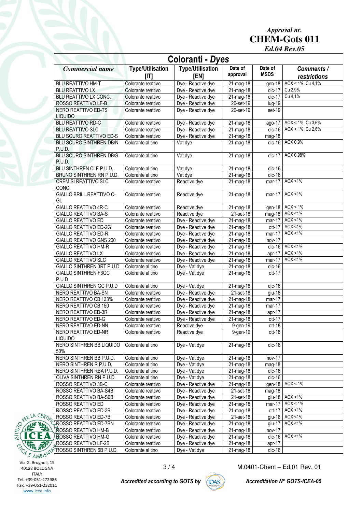*Approval nr.*  **CHEM-Gots 011** 

*Ed.04 Rev.05* 

| Coloranti - Dyes                         |                                  |                                 |                         |                        |                            |
|------------------------------------------|----------------------------------|---------------------------------|-------------------------|------------------------|----------------------------|
| <b>Commercial name</b>                   | <b>Type/Utilisation</b><br>[ T ] | <b>Type/Utilisation</b><br>[EN] | Date of<br>approval     | Date of<br><b>MSDS</b> | Comments /<br>restrictions |
| <b>BLU REATTIVO HM-T</b>                 | Colorante reattivo               | Dye - Reactive dye              | $21$ -mag-18            | gen-18                 | AOX < 1%, Cu 4,1%          |
| <b>BLU REATTIVO LX</b>                   | Colorante reattivo               | Dye - Reactive dye              | $21$ -mag-18            | $dic-17$               | Cu 2,9%                    |
| BLU REATTIVO LX CONC.                    | Colorante reattivo               | Dye - Reactive dye              | 21-mag-18               | $dic-17$               | Cu 4,1%                    |
| ROSSO REATTIVO LF-B                      | Colorante reattivo               | Dye - Reactive dye              | 20-set-19               | $Iug-19$               |                            |
| NERO REATTIVO ED-TS                      | Colorante reattivo               | Dye - Reactive dye              | 20-set-19               | set-19                 |                            |
| <b>LIQUIDO</b>                           |                                  |                                 |                         |                        |                            |
| <b>BLU REATTIVO RD-C</b>                 | Colorante reattivo               | Dye - Reactive dye              | 21-mag-18               | ago-17                 | AOX < 1%, Cu 3,6%          |
| <b>BLU REATTIVO SLC</b>                  | Colorante reattivo               | Dye - Reactive dye              | $21$ -mag-18            | $dic-16$               | AOX < 1%, Cu 2,6%          |
| BLU SCURO REATTIVO ED-S                  | Colorante reattivo               | Dye - Reactive dye              | 21-mag-18               | mag-18                 |                            |
| BLU SCURO SINTHREN DB/N<br>P.U.D.        | Colorante al tino                | Vat dye                         | 21-mag-18               | $dic-16$               | AOX 0,9%                   |
| <b>BLU SCURO SINTHREN DB/S</b><br>P.U.D. | Colorante al tino                | Vat dye                         | 21-mag-18               | $dic-17$               | AOX 0,98%                  |
| BLU SINTHREN CLF P.U.D.                  | Colorante al tino                | Vat dye                         | 21-mag-18               | $dic-16$               |                            |
| BRUNO SINTHREN RN P.U.D.                 | Colorante al tino                | Vat dye                         | $\overline{21}$ -mag-18 | $dic-16$               |                            |
| <b>CREMISI REATTIVO SLC</b>              | Colorante reattivo               | Reactive dye                    | 21-mag-18               | $mar-17$               | AOX <1%                    |
| CONC.                                    |                                  |                                 |                         |                        |                            |
| <b>GIALLO BRILL.REATTIVO C-</b><br>GL    | Colorante reattivo               | Reactive dye                    | $21$ -mag-18            | $mar-17$               | AOX < 1%                   |
| <b>GIALLO REATTIVO 4R-C</b>              | Colorante reattivo               | Reactive dye                    | 21-mag-18               | qen-18                 | $AOX < 1\%$                |
| <b>GIALLO REATTIVO BA-S</b>              | Colorante reattivo               | Reactive dye                    | 21-set-18               | $mag-18$               | AOX <1%                    |
| GIALLO REATTIVO ED                       | Colorante reattivo               | Dye - Reactive dye              | 21-mag-18               | mar-17                 | AOX <1%                    |
| GIALLO REATTIVO ED-2G                    | Colorante reattivo               | Dye - Reactive dye              | 21-mag-18               | ott-17                 | AOX <1%                    |
| <b>GIALLO REATTIVO ED-R</b>              | Colorante reattivo               | Dye - Reactive dye              | $\overline{21}$ -mag-18 | $mar-17$               | AOX < $1\%$                |
| <b>GIALLO REATTIVO GNS 200</b>           | Colorante reattivo               | Dye - Reactive dye              | 21-mag-18               | nov-17                 |                            |
| GIALLO REATTIVO HM-R                     | Colorante reattivo               | Dye - Reactive dye              | $21$ -mag-18            | $dic-16$               | AOX <1%                    |
| GIALLO REATTIVO LX                       | Colorante reattivo               | Dye - Reactive dye              | $21$ -mag-18            | apr-17                 | AOX <1%                    |
| <b>GIALLO REATTIVO SLC</b>               | Colorante reattivo               | Dye - Reactive dye              | 21-mag-18               | mar-17                 | AOX < 1%                   |
| GIALLO SINTHREN 3RT P.U.D.               | Colorante al tino                | Dye - Vat dye                   | $\overline{21}$ -mag-18 | $dic-16$               |                            |
| GIALLO SINTHREN F3GC<br>P.U.D            | Colorante al tino                | Dye - Vat dye                   | 21-mag-18               | ott-17                 |                            |
| GIALLO SINTHREN GC P.U.D                 | Colorante al tino                | Dye - Vat dye                   | 21-mag-18               | $dic-16$               |                            |
| NERO REATTIVO BA-SN                      | Colorante reattivo               | Dye - Reactive dye              | 21-set-18               | $g$ iu-18              |                            |
| NERO REATTIVO CB 133%                    | Colorante reattivo               | Dye - Reactive dye              | $21$ -mag-18            | mar-17                 |                            |
| NERO REATTIVO CB 150                     | Colorante reattivo               | Dye - Reactive dye              | 21-mag-18               | mar-17                 |                            |
| NERO REATTIVO ED-3R                      | Colorante reattivo               | Dye - Reactive dye              | $\overline{21}$ -mag-18 | apr-17                 |                            |
| NERO REATTIVO ED-G                       | Colorante reattivo               | Dye - Reactive dye              | 21-mag-18               | ott-17                 |                            |
| NERO REATTIVO ED-NN                      | Colorante reattivo               | Reactive dye                    | $9-gen-19$              | $ott-18$               |                            |
| NERO REATTIVO ED-NR<br><b>LIQUIDO</b>    | Colorante reattivo               | Reactive dye                    | 9-gen-19                | $ott-18$               |                            |
| NERO SINTHREN BB LIQUIDO<br>50%          | Colorante al tino                | Dye - Vat dye                   | 21-mag-18               | $dic-16$               |                            |
| NERO SINTHREN BB P.U.D.                  | Colorante al tino                | Dye - Vat dye                   | 21-mag-18               | nov-17                 |                            |
| NERO SINTHREN R P.U.D.                   | Colorante al tino                | Dye - Vat dye                   | 21-mag-18               | $mag-18$               |                            |
| NERO SINTHREN RBA P.U.D.                 | Colorante al tino                | Dye - Vat dye                   | 21-mag-18               | $dic-16$               |                            |
| OLIVA SINTHREN RN P.U.D.                 | Colorante al tino                | Dye - Vat dye                   | 21-mag-18               | $dic-16$               |                            |
| ROSSO REATTIVO 3B-C                      | Colorante reattivo               | Dye - Reactive dye              | 21-mag-18               | gen-18                 | AOX < 1%                   |
| ROSSO REATTIVO BA-S4B                    | Colorante reattivo               | Dye - Reactive dye              | 21-set-18               | mag-18                 |                            |
| ROSSO REATTIVO BA-S6B                    | Colorante reattivo               | Dye - Reactive dye              | 21-set-18               | $q$ iu-18              | AOX <1%                    |
| ROSSO REATTIVO ED                        | Colorante reattivo               | Dye - Reactive dye              | $21$ -mag-18            | $mar-17$               | $AOX < 1\%$                |
| ROSSO REATTIVO ED-3B                     | Colorante reattivo               | Dye - Reactive dye              | 21-mag-18               | $ott-17$               | AOX <1%                    |
| ROSSO REATTIVO ED-7B                     | Colorante reattivo               | Dye - Reactive dye              | 21-set-18               |                        | giu-18   AOX <1%           |
| ∤ROSSO REATTIVO ED-7BN                   | Colorante reattivo               | Dye - Reactive dye              | 21-mag-18               | $g$ iu-17              | AOX <1%                    |
| ROSSO REATTIVO HM-B                      | Colorante reattivo               | Dye - Reactive dye              | 21-mag-18               | nov-17                 |                            |
| 景OSSO REATTIVO HM-G                      | Colorante reattivo               | Dye - Reactive dye              | $\overline{2}$ 1-mag-18 |                        | dic-16   $AOX < 1\%$       |
| ROSSO REATTIVO LF-2B                     | Colorante reattivo               | Dye - Reactive dye              | 21-mag-18               | apr-17                 |                            |
| ROSSO SINTHREN 6B P.U.D.                 | Colorante al tino                | Dye - Vat dye                   | 21-mag-18               | $dic-16$               |                            |



Accredited according to GOTS by ( $\overline{[OAS]}$ ) Accreditation N° GOTS-ICEA-05



3 / 4 M.0401-Chem – Ed.01 Rev. 01